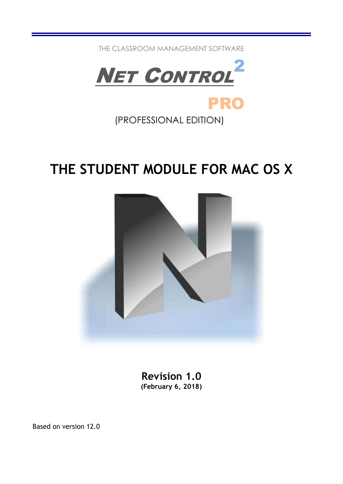THE CLASSROOM MANAGEMENT SOFTWARE



(PROFESSIONAL EDITION)

# THE STUDENT MODULE FOR MAC OS X



Revision 1.0 (February 6, 2018)

Based on version 12.0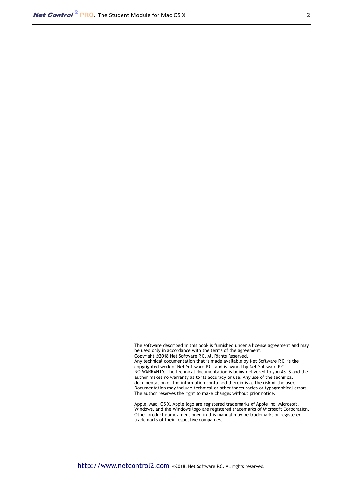The software described in this book is furnished under a license agreement and may be used only in accordance with the terms of the agreement. Copyright ©2018 Net Software P.C. All Rights Reserved. Any technical documentation that is made available by Net Software P.C. is the copyrighted work of Net Software P.C. and is owned by Net Software P.C. NO WARRANTY. The technical documentation is being delivered to you AS-IS and the author makes no warranty as to its accuracy or use. Any use of the technical documentation or the information contained therein is at the risk of the user. Documentation may include technical or other inaccuracies or typographical errors. The author reserves the right to make changes without prior notice.

Apple, Mac, OS X, Apple logo are registered trademarks of Apple Inc. Microsoft, Windows, and the Windows logo are registered trademarks of Microsoft Corporation. Other product names mentioned in this manual may be trademarks or registered trademarks of their respective companies.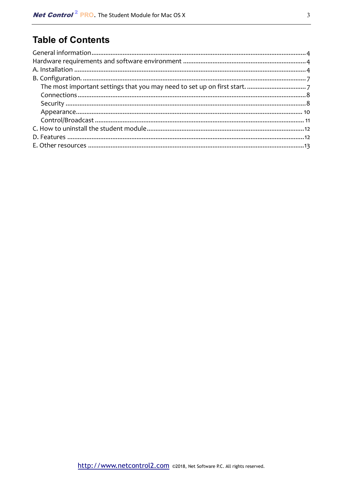# **Table of Contents**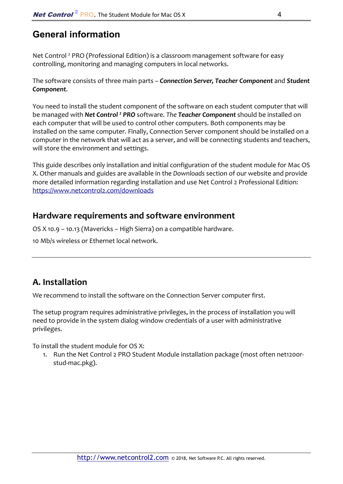### General information

Net Control<sup>2</sup> PRO (Professional Edition) is a classroom management software for easy controlling, monitoring and managing computers in local networks.

The software consists of three main parts – *Connection Server, Teacher Component* and *Student Component*.

You need to install the student component of the software on each student computer that will be managed with *Net Control 2 PRO* software. *The Teacher Component* should be installed on each computer that will be used to control other computers. Both components may be installed on the same computer. Finally, Connection Server component should be installed on a computer in the network that will act as a server, and will be connecting students and teachers, will store the environment and settings.

This guide describes only installation and initial configuration of the student module for Mac OS X. Other manuals and guides are available in the *Downloads* section of our website and provide more detailed information regarding installation and use Net Control 2 Professional Edition: https://www.netcontrol2.com/downloads

### **Hardware requirements and software environment**

OS X 10.9 – 10.13 (Mavericks – High Sierra) on a compatible hardware.

10 Mb/s wireless or Ethernet local network.

### **A. Installation**

We recommend to install the software on the Connection Server computer first.

The setup program requires administrative privileges, in the process of installation you will need to provide in the system dialog window credentials of a user with administrative privileges.

To install the student module for OS X:

1. Run the Net Control 2 PRO Student Module installation package (most often net1200rstud-mac.pkg).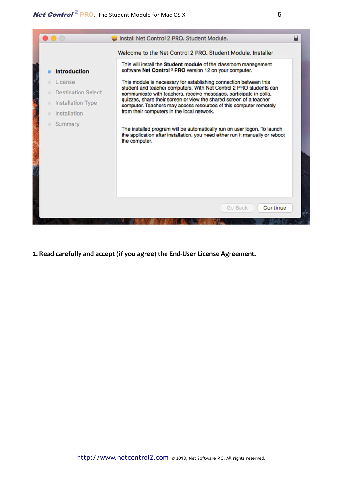

**2. Read carefully and accept (if you agree) the End-User License Agreement.**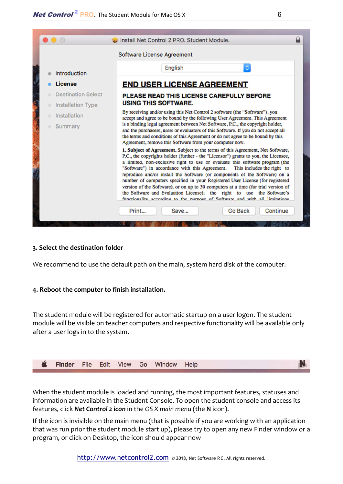

#### **3. Select the destination folder**

We recommend to use the default path on the main, system hard disk of the computer.

#### **4. Reboot the computer to finish installation.**

The student module will be registered for automatic startup on a user logon. The student module will be visible on teacher computers and respective functionality will be available only after a user logs in to the system.



When the student module is loaded and running, the most important features, statuses and information are available in the Student Console. To open the student console and access its features, click *Net Control 2 icon* in the *OS X main menu* (the **N** icon).

If the icon is invisible on the main menu (that is possible if you are working with an application that was run prior the student module start up), please try to open any new Finder window or a program, or click on Desktop, the icon should appear now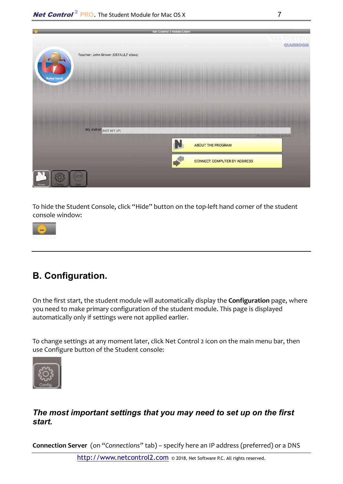| w                                   | Net Control 2 Mobile Client        |
|-------------------------------------|------------------------------------|
|                                     | Ner Gonnaol<br><b>CLASSROOM</b>    |
| Teacher: John Brown (DEFAULT class) |                                    |
| <b>Raise hand</b>                   |                                    |
|                                     |                                    |
|                                     |                                    |
|                                     |                                    |
| My status: [NOT SET UP]             | The status is whitne to resident   |
|                                     | <b>ABOUT THE PROGRAM</b>           |
|                                     | <b>CONNECT COMPUTER BY ADDRESS</b> |
| <b>STOP</b><br><b>COUR</b><br>Home  |                                    |

To hide the Student Console, click "Hide" button on the top-left hand corner of the student console window:



# B. Configuration.

On the first start, the student module will automatically display the **Configuration** page, where you need to make primary configuration of the student module. This page is displayed automatically only if settings were not applied earlier.

To change settings at any moment later, click Net Control 2 icon on the main menu bar, then use Configure button of the Student console:



### *The most important settings that you may need to set up on the first start.*

**Connection Server** (on *"Connections"* tab) – specify here an IP address (preferred) or a DNS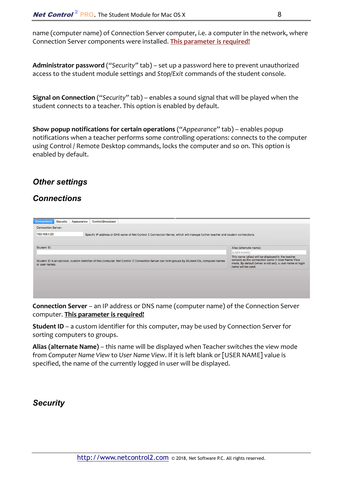name (computer name) of Connection Server computer, i.e. a computer in the network, where Connection Server components were installed. **This parameter is required!**

**Administrator password** (*"Security"* tab) – set up a password here to prevent unauthorized access to the student module settings and *Stop/Exit* commands of the student console.

**Signal on Connection** ("*Security"* tab) – enables a sound signal that will be played when the student connects to a teacher. This option is enabled by default.

**Show popup notifications for certain operations** ("*Appearance*" tab) – enables popup notifications when a teacher performs some controlling operations: connects to the computer using Control / Remote Desktop commands, locks the computer and so on. This option is enabled by default.

### *Other settings*

#### *Connections*

**Connection Server** – an IP address or DNS name (computer name) of the Connection Server computer. **This parameter is required!**

**Student ID** – a custom identifier for this computer, may be used by Connection Server for sorting computers to groups.

**Alias (alternate Name)** – this name will be displayed when Teacher switches the view mode from *Computer Name View* to *User Name View*. If it is left blank or [USER NAME] value is specified, the name of the currently logged in user will be displayed.

### *Security*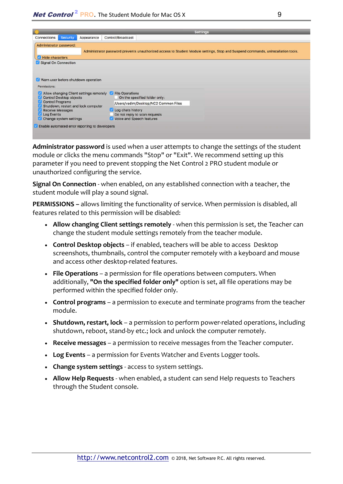|                                                                                                                                                                                                                                | <b>Settings</b>                                                                 |                                                |                   |  |                                                                                                                                  |  |
|--------------------------------------------------------------------------------------------------------------------------------------------------------------------------------------------------------------------------------|---------------------------------------------------------------------------------|------------------------------------------------|-------------------|--|----------------------------------------------------------------------------------------------------------------------------------|--|
| Connections                                                                                                                                                                                                                    | <b>Security</b>                                                                 | Appearance                                     | Control/Broadcast |  |                                                                                                                                  |  |
| Administrator password:<br>Hide characters                                                                                                                                                                                     |                                                                                 |                                                |                   |  | Administrator password prevents unauthorized access to Student Module settings, Stop and Suspend commands, uninstallation tools. |  |
| Signal On Connection                                                                                                                                                                                                           |                                                                                 |                                                |                   |  |                                                                                                                                  |  |
| Permissions:                                                                                                                                                                                                                   |                                                                                 | Warn user before shutdown operation            |                   |  |                                                                                                                                  |  |
| Allow changing Client settings remotely File Operations<br><b>Control Desktop objects</b><br><b>Control Programs</b><br>Shutdown, restart and lock computer<br><b>Receive Messages</b><br>Log Events<br>Change system settings |                                                                                 | On the specified folder only:                  |                   |  |                                                                                                                                  |  |
|                                                                                                                                                                                                                                |                                                                                 | /Users/vadim/Desktop/NC2 Common Files          |                   |  |                                                                                                                                  |  |
|                                                                                                                                                                                                                                | Log chats history<br>Do not reply to scan requests<br>Voice and Speech features |                                                |                   |  |                                                                                                                                  |  |
|                                                                                                                                                                                                                                |                                                                                 | Enable automated error reporting to developers |                   |  |                                                                                                                                  |  |

**Administrator password** is used when a user attempts to change the settings of the student module or clicks the menu commands "Stop" or "Exit". We recommend setting up this parameter if you need to prevent stopping the Net Control 2 PRO student module or unauthorized configuring the service.

**Signal On Connection** - when enabled, on any established connection with a teacher, the student module will play a sound signal.

**PERMISSIONS –** allows limiting the functionality of service. When permission is disabled, all features related to this permission will be disabled:

- **Allow changing Client settings remotely** when this permission is set, the Teacher can change the student module settings remotely from the teacher module.
- **Control Desktop objects** if enabled, teachers will be able to access Desktop screenshots, thumbnails, control the computer remotely with a keyboard and mouse and access other desktop-related features.
- **File Operations**  a permission for file operations between computers. When additionally, **"On the specified folder only"** option is set, all file operations may be performed within the specified folder only.
- **Control programs**  a permission to execute and terminate programs from the teacher module.
- **Shutdown, restart, lock**  a permission to perform power-related operations, including shutdown, reboot, stand-by etc.; lock and unlock the computer remotely.
- **Receive messages**  a permission to receive messages from the Teacher computer.
- **Log Events**  a permission for Events Watcher and Events Logger tools.
- **Change system settings**  access to system settings.
- **Allow Help Requests**  when enabled, a student can send Help requests to Teachers through the Student console.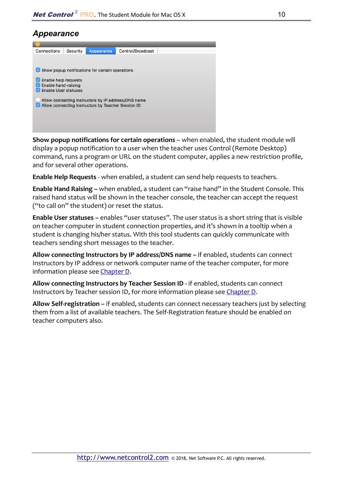### *Appearance*



**Show popup notifications for certain operations** – when enabled, the student module will display a popup notification to a user when the teacher uses Control (Remote Desktop) command, runs a program or URL on the student computer, applies a new restriction profile, and for several other operations.

**Enable Help Requests** - when enabled, a student can send help requests to teachers.

**Enable Hand Raising –** when enabled, a student can "raise hand" in the Student Console. This raised hand status will be shown in the teacher console, the teacher can accept the request ("to call on" the student) or reset the status.

**Enable User statuses –** enables "user statuses". The user status is a short string that is visible on teacher computer in student connection properties, and it's shown in a tooltip when a student is changing his/her status. With this tool students can quickly communicate with teachers sending short messages to the teacher.

**Allow connecting Instructors by IP address/DNS name –** if enabled, students can connect Instructors by IP address or network computer name of the teacher computer, for more information please see Chapter D.

**Allow connecting Instructors by Teacher Session ID -** if enabled, students can connect Instructors by Teacher session ID, for more information please see Chapter D.

**Allow Self-registration –** if enabled, students can connect necessary teachers just by selecting them from a list of available teachers. The Self-Registration feature should be enabled on teacher computers also.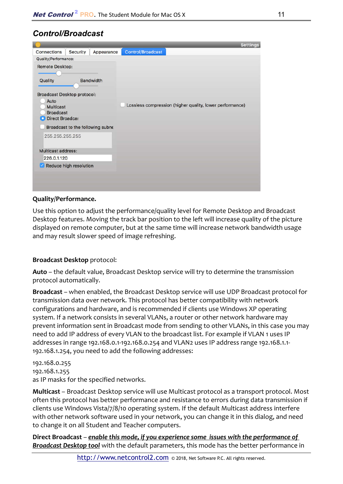### *Control/Broadcast*

|                                                     | <b>Settings</b>                                          |
|-----------------------------------------------------|----------------------------------------------------------|
| Appearance<br><b>Security</b><br><b>Connections</b> | Control/Broadcast                                        |
| Quality/Performance:                                |                                                          |
| <b>Remote Desktop:</b>                              |                                                          |
| <b>Bandwidth</b><br>Quality                         |                                                          |
| <b>Broadcast Desktop protocol:</b>                  |                                                          |
| Auto                                                |                                                          |
| <b>Multicast</b><br><b>Broadcast</b>                | Lossless compression (higher quality, lower performance) |
| Direct Broadca:                                     |                                                          |
| Broadcast to the following subne                    |                                                          |
| 255.255.255.255                                     |                                                          |
| Multicast address:                                  |                                                          |
| 226.0.1.120                                         |                                                          |
| Reduce high resolution                              |                                                          |
|                                                     |                                                          |
|                                                     |                                                          |
|                                                     |                                                          |

#### **Quality/Performance.**

Use this option to adjust the performance/quality level for Remote Desktop and Broadcast Desktop features. Moving the track bar position to the left will increase quality of the picture displayed on remote computer, but at the same time will increase network bandwidth usage and may result slower speed of image refreshing.

#### **Broadcast Desktop** protocol:

**Auto** – the default value, Broadcast Desktop service will try to determine the transmission protocol automatically.

**Broadcast** – when enabled, the Broadcast Desktop service will use UDP Broadcast protocol for transmission data over network. This protocol has better compatibility with network configurations and hardware, and is recommended if clients use Windows XP operating system. If a network consists in several VLANs, a router or other network hardware may prevent information sent in Broadcast mode from sending to other VLANs, in this case you may need to add IP address of every VLAN to the broadcast list. For example if VLAN 1 uses IP addresses in range 192.168.0.1-192.168.0.254 and VLAN2 uses IP address range 192.168.1.1- 192.168.1.254, you need to add the following addresses:

192.168.0.255 192.168.1.255 as IP masks for the specified networks.

**Multicast** – Broadcast Desktop service will use Multicast protocol as a transport protocol. Most often this protocol has better performance and resistance to errors during data transmission if clients use Windows Vista/7/8/10 operating system. If the default Multicast address interfere with other network software used in your network, you can change it in this dialog, and need to change it on all Student and Teacher computers.

**Direct Broadcast** – *enable this mode, if you experience some issues with the performance of Broadcast Desktop tool* with the default parameters, this mode has the better performance in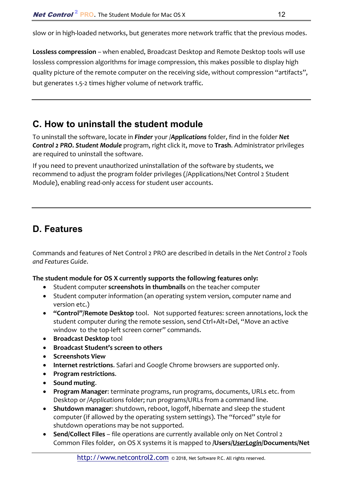slow or in high-loaded networks, but generates more network traffic that the previous modes.

**Lossless compression** – when enabled, Broadcast Desktop and Remote Desktop tools will use lossless compression algorithms for image compression, this makes possible to display high quality picture of the remote computer on the receiving side, without compression "artifacts", but generates 1.5-2 times higher volume of network traffic.

## C. How to uninstall the student module

To uninstall the software, locate in *Finder* your /*Applications* folder, find in the folder *Net Control 2 PRO. Student Module* program, right click it, move to **Trash**. Administrator privileges are required to uninstall the software.

If you need to prevent unauthorized uninstallation of the software by students, we recommend to adjust the program folder privileges (/Applications/Net Control 2 Student Module), enabling read-only access for student user accounts.

## D. Features

Commands and features of Net Control 2 PRO are described in details in the *Net Control 2 Tools and Features Guide*.

#### **The student module for OS X currently supports the following features only:**

- Student computer **screenshots in thumbnails** on the teacher computer
- Student computer information (an operating system version, computer name and version etc.)
- **"Control"/Remote Desktop** tool. Not supported features: screen annotations, lock the student computer during the remote session, send Ctrl+Alt+Del, "Move an active window to the top-left screen corner" commands.
- **•** Broadcast Desktop tool
- **Broadcast Student's screen to others**
- **Screenshots View**
- **Internet restrictions**. Safari and Google Chrome browsers are supported only.
- **Program restrictions**.
- **Sound muting**.
- **Program Manager**: terminate programs, run programs, documents, URLs etc. from Desktop or */Applications* folder; run programs/URLs from a command line.
- **Shutdown manager**: shutdown, reboot, logoff, hibernate and sleep the student computer (if allowed by the operating system settings). The "forced" style for shutdown operations may be not supported.
- **Send/Collect Files** file operations are currently available only on Net Control 2 Common Files folder, on OS X systems it is mapped to **/Users/***UserLogin***/Documents/Net**